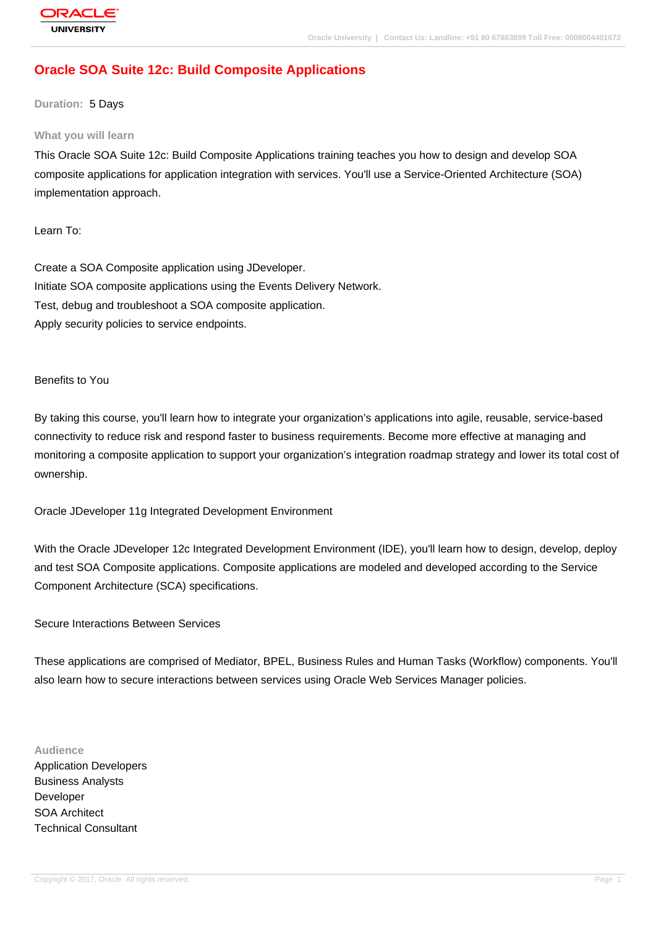# **[Oracle SOA Su](http://education.oracle.com/pls/web_prod-plq-dad/db_pages.getpage?page_id=3)ite 12c: Build Composite Applications**

#### **Duration:** 5 Days

#### **What you will learn**

This Oracle SOA Suite 12c: Build Composite Applications training teaches you how to design and develop SOA composite applications for application integration with services. You'll use a Service-Oriented Architecture (SOA) implementation approach.

Learn To:

Create a SOA Composite application using JDeveloper. Initiate SOA composite applications using the Events Delivery Network. Test, debug and troubleshoot a SOA composite application. Apply security policies to service endpoints.

#### Benefits to You

By taking this course, you'll learn how to integrate your organization's applications into agile, reusable, service-based connectivity to reduce risk and respond faster to business requirements. Become more effective at managing and monitoring a composite application to support your organization's integration roadmap strategy and lower its total cost of ownership.

Oracle JDeveloper 11g Integrated Development Environment

With the Oracle JDeveloper 12c Integrated Development Environment (IDE), you'll learn how to design, develop, deploy and test SOA Composite applications. Composite applications are modeled and developed according to the Service Component Architecture (SCA) specifications.

Secure Interactions Between Services

These applications are comprised of Mediator, BPEL, Business Rules and Human Tasks (Workflow) components. You'll also learn how to secure interactions between services using Oracle Web Services Manager policies.

#### **Audience**

Application Developers Business Analysts Developer SOA Architect Technical Consultant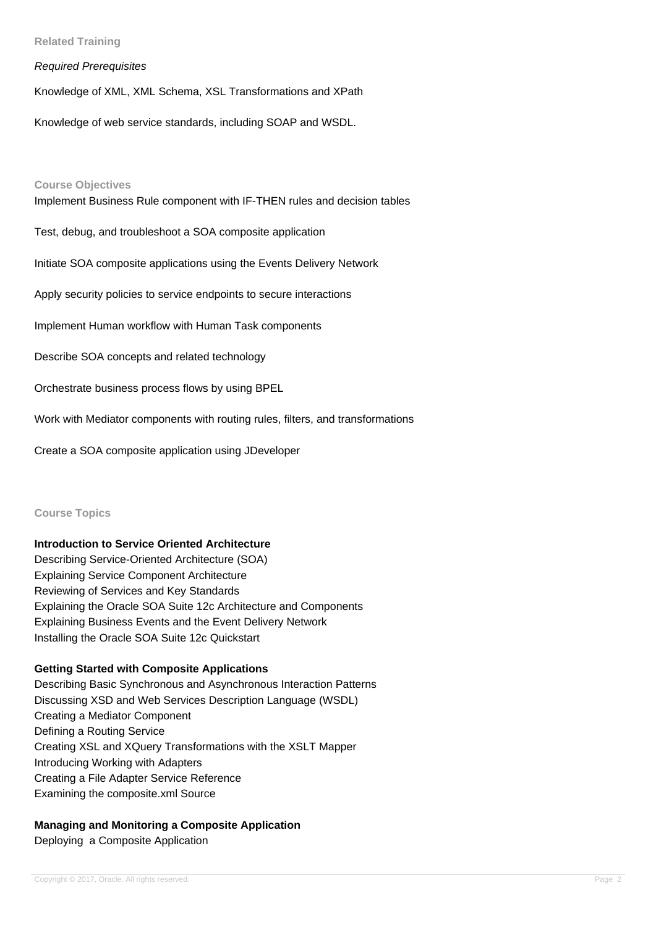## **Related Training**

### Required Prerequisites

Knowledge of XML, XML Schema, XSL Transformations and XPath

Knowledge of web service standards, including SOAP and WSDL.

#### **Course Objectives**

Implement Business Rule component with IF-THEN rules and decision tables

Test, debug, and troubleshoot a SOA composite application

Initiate SOA composite applications using the Events Delivery Network

Apply security policies to service endpoints to secure interactions

Implement Human workflow with Human Task components

Describe SOA concepts and related technology

Orchestrate business process flows by using BPEL

Work with Mediator components with routing rules, filters, and transformations

Create a SOA composite application using JDeveloper

#### **Course Topics**

#### **Introduction to Service Oriented Architecture**

Describing Service-Oriented Architecture (SOA) Explaining Service Component Architecture Reviewing of Services and Key Standards Explaining the Oracle SOA Suite 12c Architecture and Components Explaining Business Events and the Event Delivery Network Installing the Oracle SOA Suite 12c Quickstart

## **Getting Started with Composite Applications**

Describing Basic Synchronous and Asynchronous Interaction Patterns Discussing XSD and Web Services Description Language (WSDL) Creating a Mediator Component Defining a Routing Service Creating XSL and XQuery Transformations with the XSLT Mapper Introducing Working with Adapters Creating a File Adapter Service Reference Examining the composite.xml Source

## **Managing and Monitoring a Composite Application**

Deploying a Composite Application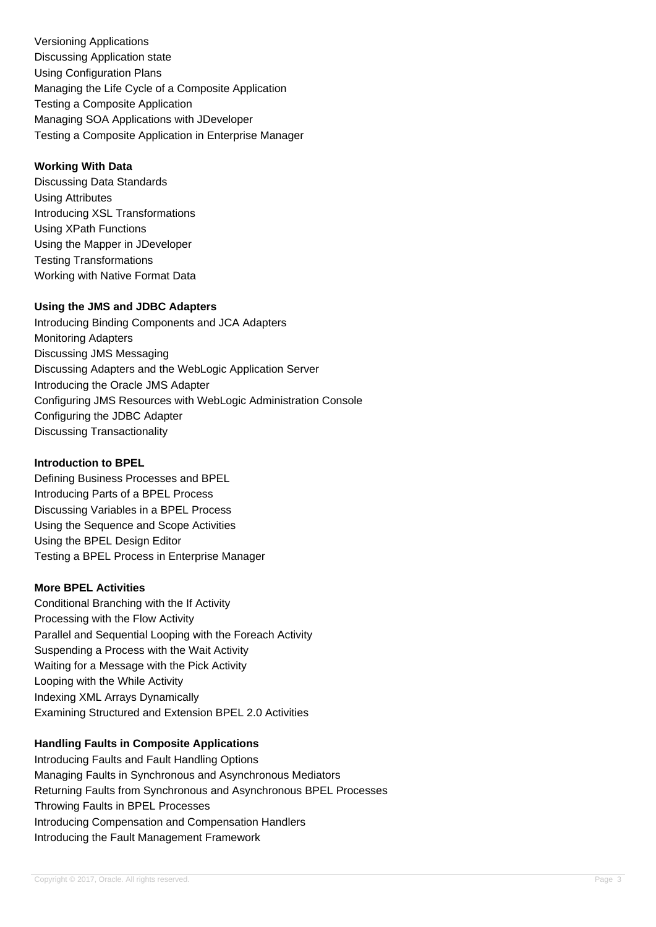Versioning Applications Discussing Application state Using Configuration Plans Managing the Life Cycle of a Composite Application Testing a Composite Application Managing SOA Applications with JDeveloper Testing a Composite Application in Enterprise Manager

# **Working With Data**

Discussing Data Standards Using Attributes Introducing XSL Transformations Using XPath Functions Using the Mapper in JDeveloper Testing Transformations Working with Native Format Data

# **Using the JMS and JDBC Adapters**

Introducing Binding Components and JCA Adapters Monitoring Adapters Discussing JMS Messaging Discussing Adapters and the WebLogic Application Server Introducing the Oracle JMS Adapter Configuring JMS Resources with WebLogic Administration Console Configuring the JDBC Adapter Discussing Transactionality

## **Introduction to BPEL**

Defining Business Processes and BPEL Introducing Parts of a BPEL Process Discussing Variables in a BPEL Process Using the Sequence and Scope Activities Using the BPEL Design Editor Testing a BPEL Process in Enterprise Manager

# **More BPEL Activities**

Conditional Branching with the If Activity Processing with the Flow Activity Parallel and Sequential Looping with the Foreach Activity Suspending a Process with the Wait Activity Waiting for a Message with the Pick Activity Looping with the While Activity Indexing XML Arrays Dynamically Examining Structured and Extension BPEL 2.0 Activities

# **Handling Faults in Composite Applications**

Introducing Faults and Fault Handling Options Managing Faults in Synchronous and Asynchronous Mediators Returning Faults from Synchronous and Asynchronous BPEL Processes Throwing Faults in BPEL Processes Introducing Compensation and Compensation Handlers Introducing the Fault Management Framework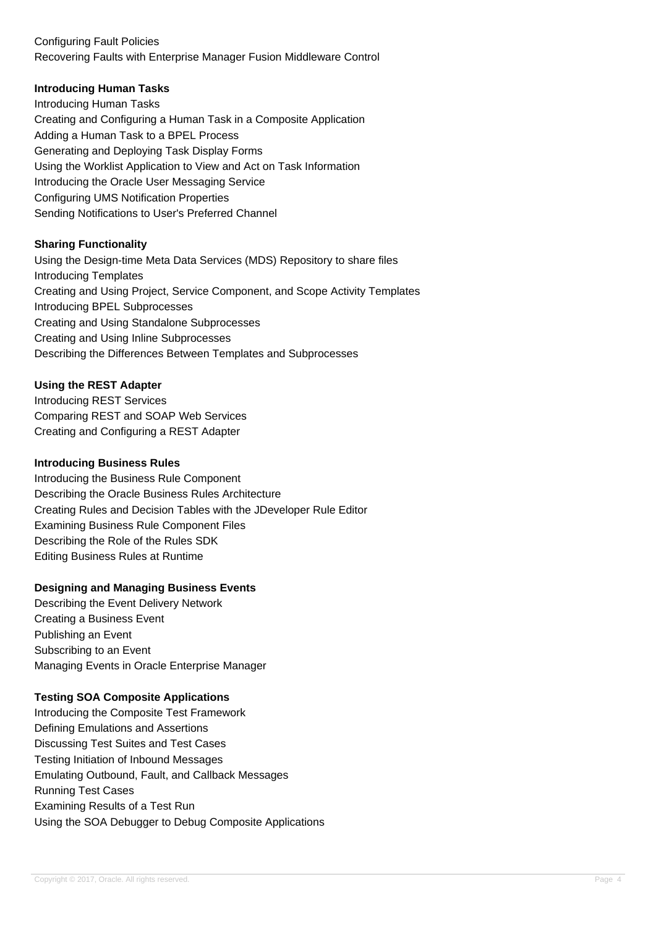# Configuring Fault Policies Recovering Faults with Enterprise Manager Fusion Middleware Control

# **Introducing Human Tasks**

Introducing Human Tasks Creating and Configuring a Human Task in a Composite Application Adding a Human Task to a BPEL Process Generating and Deploying Task Display Forms Using the Worklist Application to View and Act on Task Information Introducing the Oracle User Messaging Service Configuring UMS Notification Properties Sending Notifications to User's Preferred Channel

## **Sharing Functionality**

Using the Design-time Meta Data Services (MDS) Repository to share files Introducing Templates Creating and Using Project, Service Component, and Scope Activity Templates Introducing BPEL Subprocesses Creating and Using Standalone Subprocesses Creating and Using Inline Subprocesses Describing the Differences Between Templates and Subprocesses

# **Using the REST Adapter**

Introducing REST Services Comparing REST and SOAP Web Services Creating and Configuring a REST Adapter

### **Introducing Business Rules**

Introducing the Business Rule Component Describing the Oracle Business Rules Architecture Creating Rules and Decision Tables with the JDeveloper Rule Editor Examining Business Rule Component Files Describing the Role of the Rules SDK Editing Business Rules at Runtime

## **Designing and Managing Business Events**

Describing the Event Delivery Network Creating a Business Event Publishing an Event Subscribing to an Event Managing Events in Oracle Enterprise Manager

## **Testing SOA Composite Applications**

Introducing the Composite Test Framework Defining Emulations and Assertions Discussing Test Suites and Test Cases Testing Initiation of Inbound Messages Emulating Outbound, Fault, and Callback Messages Running Test Cases Examining Results of a Test Run Using the SOA Debugger to Debug Composite Applications